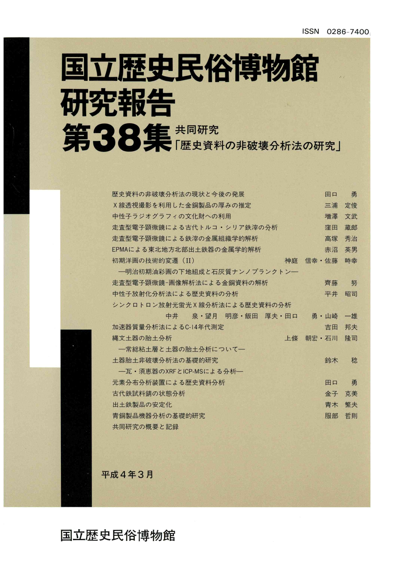# 国立歴史民俗博物館 研究報告 第38集 (歴史資料の非破壊分析法の研究)

| 歴史資料の非破壊分析法の現状と今後の発展<br>田口         | 勇  |
|------------------------------------|----|
| X線透視撮影を利用した金銅製品の厚みの推定<br>三浦        | 定俊 |
| 中性子ラジオグラフィの文化財への利用<br>増澤           | 文武 |
| 走査型電子顕微鏡による古代トルコ・シリア鉄滓の分析<br>窪田    | 蔵郎 |
| 走杳型電子顕微鏡による鉄滓の金属組織学的解析<br>高塚       | 秀治 |
| EPMAによる東北地方北部出土鉄器の金属学的解析<br>赤沼     | 英男 |
| 初期洋画の技術的変遷 (II)<br>信幸·佐藤<br>神庭     | 時幸 |
| ―明治初期油彩画の下地組成と石灰質ナンノプランクトン―        |    |
| 走杳型電子顕微鏡-画像解析法による金銅資料の解析<br>齊藤     | 努  |
| 中性子放射化分析法による歴史資料の分析<br>平井          | 昭司 |
| シンクロトロン放射光蛍光X線分析法による歴史資料の分析        |    |
| - 泉・望月 明彦・飯田 厚夫・田口<br>中井<br>勇 · 山崎 | 一雄 |
|                                    |    |
| 加速器質量分析法によるC-14年代測定<br>吉田          | 邦夫 |
| 縄文土器の胎土分析<br>上條<br>朝宏·石川           | 降司 |
| 一常総粘土層と土器の胎土分析について一                |    |
| 十器胎十非破壊分析法の基礎的研究<br>鈴木             | 稔  |
| 一瓦·須恵器のXRFとICP-MSによる分析–            |    |
| 元素分布分析装置による歴史資料分析<br>田口            | 勇  |
| 古代鉄試料錆の状態分析<br>金子                  | 克美 |
| 出土鉄製品の安定化<br>青木                    | 繁夫 |
| 青銅製品機器分析の基礎的研究<br>服部               | 哲則 |

平成4年3月

国立歴史民俗博物館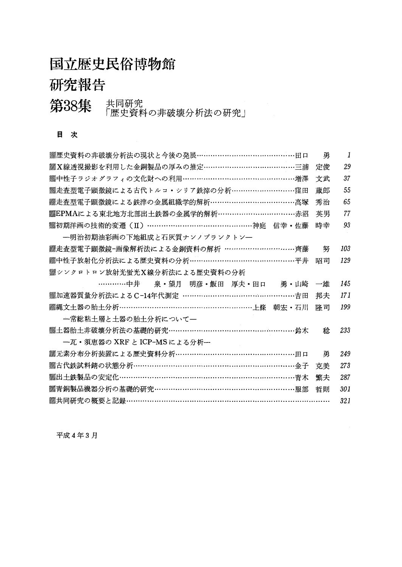## 国立歴史民俗博物館

### 研究報告

第38集 共同研究<br>原理資料の非破壊分析法の研究」

#### 目 次

| ▒歴史資料の非破壊分析法の現状と今後の発展…………………………………田口           | 勇  | 1   |
|------------------------------------------------|----|-----|
| <b>▓X線透視撮影を利用した金銅製品の厚みの推定…………………………………三浦</b>   | 定俊 | 29  |
| <b>▒中性子ラジオグラフィの文化財への利用………………………………………増澤</b>    | 文武 | 37  |
| ▒走査型電子顕微鏡による古代トルコ・シリア鉄滓の分析………………………窪田          | 蔵郎 | 55  |
| ▒走査型電子顕微鏡による鉄滓の金属組織学的解析………………………………高塚          | 秀治 | 65  |
|                                                | 英男 | 77  |
| <b>▒初期洋画の技術的変遷(Ⅱ)………………………………………神庭 信幸・佐藤</b>   | 時幸 | 93  |
| 一明治初期油彩画の下地組成と石灰質ナンノプランクトンー                    |    |     |
| ▒走査型電子顕微鏡-画像解析法による金銅資料の解析 ……………………………齊藤        | 努  | 103 |
| ▓中性子放射化分析法による歴史資料の分析………………………………………平井          | 昭司 | 129 |
| ▓シンクロトロン放射光蛍光X線分析法による歴史資料の分析                   |    |     |
| …………中井 泉・望月 明彦・飯田 厚夫・田口 勇・山崎 一雄                |    | 145 |
| <b>▒加速器質量分析法によるC-14年代測定 …………………………………………吉田</b> | 邦夫 | 171 |
| ▒縄文土器の胎土分析…………………………………………………上條 朝宏・石川          | 降司 | 199 |
| ―常総粘土層と土器の胎土分析について―                            |    |     |
|                                                | 稌  | 233 |
| 一瓦・須恵器の XRF と ICP-MS による分析--                   |    |     |
| ▓元素分布分析装置による歴史資料分析……………………………………………田口          | 勇  | 249 |
| ▓古代鉄試料錆の状態分析…………………………………………………………………金子        | 克美 | 273 |
| ▒出土鉄製品の安定化………………………………………………………………青木           | 繁夫 | 287 |
| ▒青銅製品機器分析の基礎的研究……………………………………………………服部          | 哲則 | 301 |
| ▓共同研究の概要と記録………………………………………………………………………         |    | 321 |

平成4年3月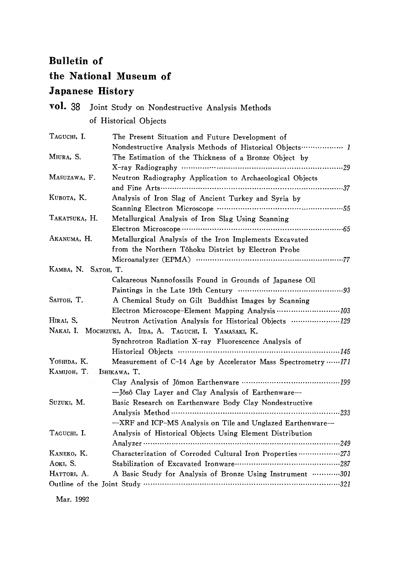#### Bulletin of

#### the National Museum of

### Japanese History

| vol. 38             | Joint Study on Nondestructive Analysis Methods                                                                 |
|---------------------|----------------------------------------------------------------------------------------------------------------|
|                     | of Historical Objects                                                                                          |
| TAGUCHI, I.         | The Present Situation and Future Development of<br>Nondestructive Analysis Methods of Historical Objects  1    |
| Miura, S.           | The Estimation of the Thickness of a Bronze Object by                                                          |
| MASUZAWA, F.        | Neutron Radiography Application to Archaeological Objects                                                      |
| Кивота, К.          | Analysis of Iron Slag of Ancient Turkey and Syria by                                                           |
| TAKATSUKA, H.       | Metallurgical Analysis of Iron Slag Using Scanning                                                             |
| Akanuma, H.         | Metallurgical Analysis of the Iron Implements Excavated<br>from the Northern Tôhoku District by Electron Probe |
|                     |                                                                                                                |
| КАМВА, N. SATOH, T. |                                                                                                                |
|                     | Calcareous Nannofossils Found in Grounds of Japanese Oil                                                       |
| SAITOH, T.          | A Chemical Study on Gilt Buddhist Images by Scanning                                                           |
|                     |                                                                                                                |
| HIRAI, S.           | Neutron Activation Analysis for Historical Objects 129                                                         |
| NAKAI, I.           | MOCHIZUKI, A. IIDA, A. TAGUCHI, I. YAMASAKI, K.                                                                |
|                     | Synchrotron Radiation X-ray Fluorescence Analysis of                                                           |
|                     | Historical Objects ……………………………………………………… 145                                                                   |
| YOSHIDA, K.         | Measurement of C-14 Age by Accelerator Mass Spectrometry  171                                                  |
| Камион, Т.          | ISHIKAWA, T.                                                                                                   |
|                     |                                                                                                                |
|                     | -Jôsô Clay Layer and Clay Analysis of Earthenware-                                                             |
| SUZUKI, M.          | Basic Research on Earthenware Body Clay Nondestructive                                                         |
|                     |                                                                                                                |
|                     | -XRF and ICP-MS Analysis on Tile and Unglazed Earthenware-                                                     |
| TAGUCHI, I.         | Analysis of Historical Objects Using Element Distribution                                                      |
|                     |                                                                                                                |
| KANEKO, K.          | Characterization of Corroded Cultural Iron Properties 273                                                      |
| AOKI, S.            |                                                                                                                |
| HATTORI, A.         | A Basic Study for Analysis of Bronze Using Instrument 301                                                      |
|                     |                                                                                                                |

Mar.1992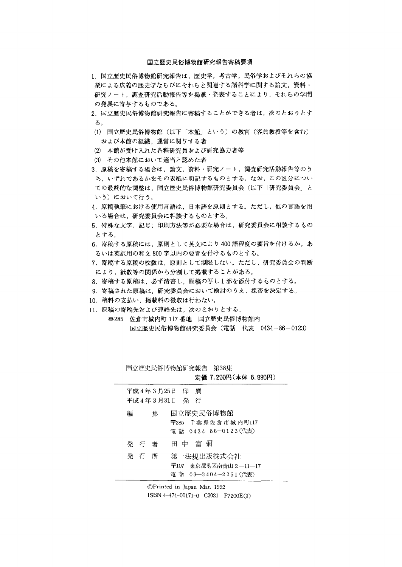#### 国立歴史民俗博物館研究報告寄稿要項

- 1. 国立歴史民俗博物館研究報告は、歴史学,考古学,民俗学およびそれらの協 業による広義の歴史学ならびにそれらと関連する諸科学に関する論文,資料・ 研究ノート,調査研究活動報告等を掲載・発表することにより,それらの学問 の発展に寄与するものである。
- 2.国立歴史民俗博物館研究報告に寄稿することができる者は,次のとおりとす る。
- (1)国立歴史民俗博物館(以下「本館」という)の教官(客員教授等を含む) および本館の組織,運営に関与する者
- ② 本館が受け入れた各種研究員および研究協力者等
- ③ その他本館において適当と認めた者
- 3.原稿を寄稿する場合は,論文,資料・研究ノート,調査研究活動報告等のう ち,いずれであるかをその表紙に明記するものとする。なお,この区分につい ての最終的な調整は,国立歴史民俗博物館研究委員会(以下「研究委員会」と いう)において行う。
- 4.原稿執筆における使用言語は,日本語を原則とする。ただし,他の言語を用 いる場合は,研究委員会に相談するものとする。
- 5.特殊な文字,記号,印刷方法等が必要な場合は,研究委員会に相談するもの とする。
- 6. 寄稿する原稿には、原則として英文により400語程度の要旨を付けるか、あ るいは英訳用の和文800字以内の要旨を付けるものとする。
- 7.寄稿する原稿の枚数は,原則として制限しない。ただし,研究委員会の判断 により,紙数等の関係から分割して掲載することがある。
- 8.寄稿する原稿は,必ず清書し,原稿の写し1部を添付するものとする。
- 9.寄稿された原稿は,研究委員会において検討のうえ,採否を決定する。
- 10. 稿料の支払い,掲載料の徴収は行わない。
- 11.原稿の寄稿先および連絡先は,次のとおりとする。
	- ⑬285 佐倉市城内町117番地 国立歴史民俗博物館内 国立歴史民俗博物館研究委員会(電話 代表 0434-86-0123)

|                                 | 国立歴史民俗博物館研究報告 第38集<br>定価 7,200円(本体 6,990円)                             |
|---------------------------------|------------------------------------------------------------------------|
| 平成 4年 3 月25日 印<br>平成4年3月31日 発 行 | 吊川                                                                     |
| 編<br>集                          | 国立歴史民俗博物館<br>〒285 千葉県佐倉市城内町117<br>電 話 0434-86-0123(代表)                 |
| 発行者                             | 田 中 富 彌                                                                |
| 発行行<br>所                        | 第一法規出版株式会社<br>- 東京都港区南青山 2 ―11―17<br>$\pm 107$<br>電 話 03—3404—2251(代表) |

◎Printed in Japan Mar.1992 1SBN 4-474-00171-O C3021 P7200E(9)